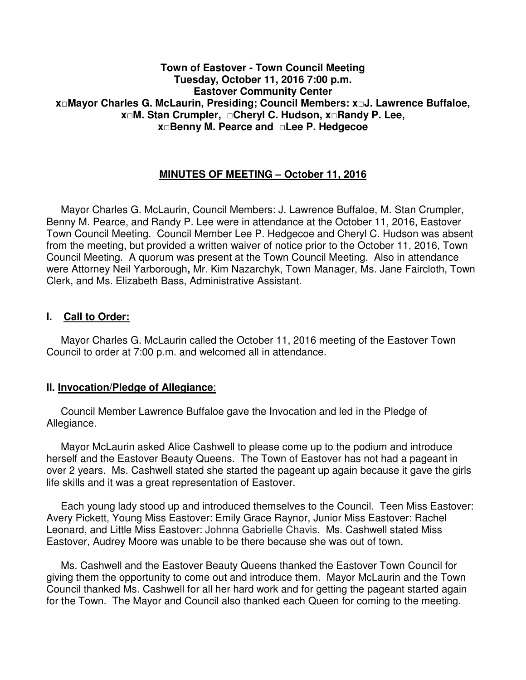### **Town of Eastover - Town Council Meeting Tuesday, October 11, 2016 7:00 p.m. Eastover Community Center x□Mayor Charles G. McLaurin, Presiding; Council Members: x□J. Lawrence Buffaloe, x□M. Stan Crumpler, □Cheryl C. Hudson, x□Randy P. Lee, x□Benny M. Pearce and □Lee P. Hedgecoe**

# **MINUTES OF MEETING – October 11, 2016**

 Mayor Charles G. McLaurin, Council Members: J. Lawrence Buffaloe, M. Stan Crumpler, Benny M. Pearce, and Randy P. Lee were in attendance at the October 11, 2016, Eastover Town Council Meeting. Council Member Lee P. Hedgecoe and Cheryl C. Hudson was absent from the meeting, but provided a written waiver of notice prior to the October 11, 2016, Town Council Meeting. A quorum was present at the Town Council Meeting. Also in attendance were Attorney Neil Yarborough**,** Mr. Kim Nazarchyk, Town Manager, Ms. Jane Faircloth, Town Clerk, and Ms. Elizabeth Bass, Administrative Assistant.

## **I. Call to Order:**

 Mayor Charles G. McLaurin called the October 11, 2016 meeting of the Eastover Town Council to order at 7:00 p.m. and welcomed all in attendance.

#### **II. Invocation/Pledge of Allegiance**:

 Council Member Lawrence Buffaloe gave the Invocation and led in the Pledge of Allegiance.

 Mayor McLaurin asked Alice Cashwell to please come up to the podium and introduce herself and the Eastover Beauty Queens. The Town of Eastover has not had a pageant in over 2 years. Ms. Cashwell stated she started the pageant up again because it gave the girls life skills and it was a great representation of Eastover.

 Each young lady stood up and introduced themselves to the Council. Teen Miss Eastover: Avery Pickett, Young Miss Eastover: Emily Grace Raynor, Junior Miss Eastover: Rachel Leonard, and Little Miss Eastover: Johnna Gabrielle Chavis. Ms. Cashwell stated Miss Eastover, Audrey Moore was unable to be there because she was out of town.

 Ms. Cashwell and the Eastover Beauty Queens thanked the Eastover Town Council for giving them the opportunity to come out and introduce them. Mayor McLaurin and the Town Council thanked Ms. Cashwell for all her hard work and for getting the pageant started again for the Town. The Mayor and Council also thanked each Queen for coming to the meeting.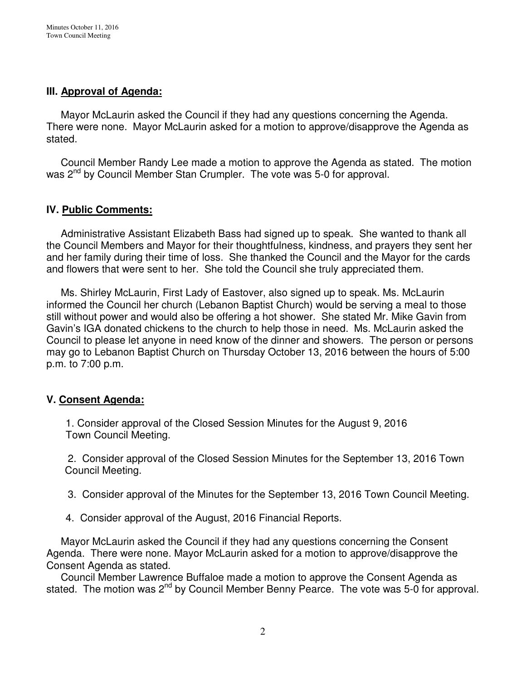# **III. Approval of Agenda:**

 Mayor McLaurin asked the Council if they had any questions concerning the Agenda. There were none. Mayor McLaurin asked for a motion to approve/disapprove the Agenda as stated.

 Council Member Randy Lee made a motion to approve the Agenda as stated. The motion was 2<sup>nd</sup> by Council Member Stan Crumpler. The vote was 5-0 for approval.

## **IV. Public Comments:**

 Administrative Assistant Elizabeth Bass had signed up to speak. She wanted to thank all the Council Members and Mayor for their thoughtfulness, kindness, and prayers they sent her and her family during their time of loss. She thanked the Council and the Mayor for the cards and flowers that were sent to her. She told the Council she truly appreciated them.

 Ms. Shirley McLaurin, First Lady of Eastover, also signed up to speak. Ms. McLaurin informed the Council her church (Lebanon Baptist Church) would be serving a meal to those still without power and would also be offering a hot shower. She stated Mr. Mike Gavin from Gavin's IGA donated chickens to the church to help those in need. Ms. McLaurin asked the Council to please let anyone in need know of the dinner and showers. The person or persons may go to Lebanon Baptist Church on Thursday October 13, 2016 between the hours of 5:00 p.m. to 7:00 p.m.

## **V. Consent Agenda:**

1. Consider approval of the Closed Session Minutes for the August 9, 2016 Town Council Meeting.

 2. Consider approval of the Closed Session Minutes for the September 13, 2016 Town Council Meeting.

- 3. Consider approval of the Minutes for the September 13, 2016 Town Council Meeting.
- 4. Consider approval of the August, 2016 Financial Reports.

 Mayor McLaurin asked the Council if they had any questions concerning the Consent Agenda. There were none. Mayor McLaurin asked for a motion to approve/disapprove the Consent Agenda as stated.

 Council Member Lawrence Buffaloe made a motion to approve the Consent Agenda as stated. The motion was  $2^{nd}$  by Council Member Benny Pearce. The vote was 5-0 for approval.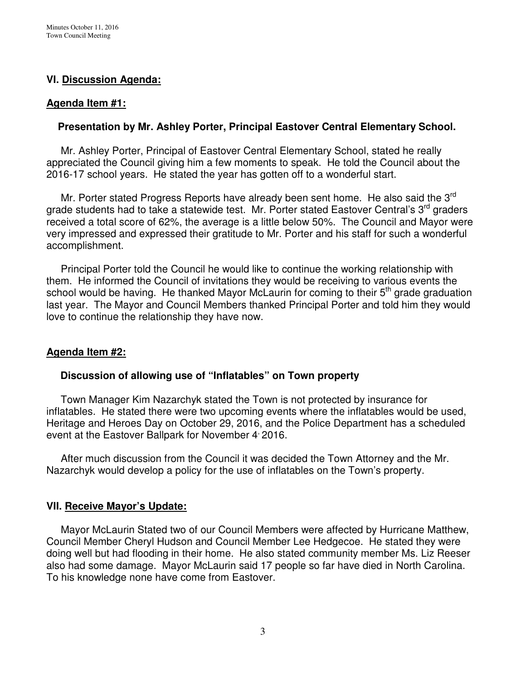# **VI. Discussion Agenda:**

#### **Agenda Item #1:**

### **Presentation by Mr. Ashley Porter, Principal Eastover Central Elementary School.**

Mr. Ashley Porter, Principal of Eastover Central Elementary School, stated he really appreciated the Council giving him a few moments to speak. He told the Council about the 2016-17 school years. He stated the year has gotten off to a wonderful start.

Mr. Porter stated Progress Reports have already been sent home. He also said the 3<sup>rd</sup> grade students had to take a statewide test. Mr. Porter stated Eastover Central's 3<sup>rd</sup> graders received a total score of 62%, the average is a little below 50%. The Council and Mayor were very impressed and expressed their gratitude to Mr. Porter and his staff for such a wonderful accomplishment.

 Principal Porter told the Council he would like to continue the working relationship with them. He informed the Council of invitations they would be receiving to various events the school would be having. He thanked Mayor McLaurin for coming to their  $5<sup>th</sup>$  grade graduation last year. The Mayor and Council Members thanked Principal Porter and told him they would love to continue the relationship they have now.

## **Agenda Item #2:**

## **Discussion of allowing use of "Inflatables" on Town property**

Town Manager Kim Nazarchyk stated the Town is not protected by insurance for inflatables. He stated there were two upcoming events where the inflatables would be used, Heritage and Heroes Day on October 29, 2016, and the Police Department has a scheduled event at the Eastover Ballpark for November 4 2016.

 After much discussion from the Council it was decided the Town Attorney and the Mr. Nazarchyk would develop a policy for the use of inflatables on the Town's property.

## **VII. Receive Mayor's Update:**

Mayor McLaurin Stated two of our Council Members were affected by Hurricane Matthew, Council Member Cheryl Hudson and Council Member Lee Hedgecoe. He stated they were doing well but had flooding in their home. He also stated community member Ms. Liz Reeser also had some damage. Mayor McLaurin said 17 people so far have died in North Carolina. To his knowledge none have come from Eastover.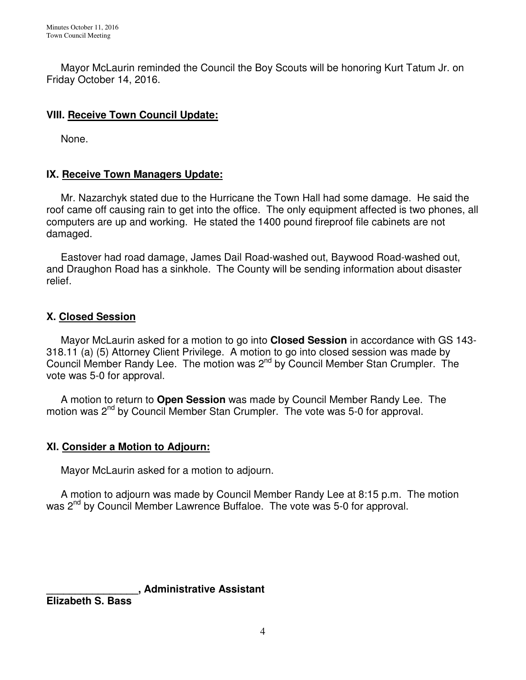Mayor McLaurin reminded the Council the Boy Scouts will be honoring Kurt Tatum Jr. on Friday October 14, 2016.

# **VIII. Receive Town Council Update:**

None.

# **IX. Receive Town Managers Update:**

 Mr. Nazarchyk stated due to the Hurricane the Town Hall had some damage. He said the roof came off causing rain to get into the office. The only equipment affected is two phones, all computers are up and working. He stated the 1400 pound fireproof file cabinets are not damaged.

 Eastover had road damage, James Dail Road-washed out, Baywood Road-washed out, and Draughon Road has a sinkhole. The County will be sending information about disaster relief.

# **X. Closed Session**

 Mayor McLaurin asked for a motion to go into **Closed Session** in accordance with GS 143- 318.11 (a) (5) Attorney Client Privilege. A motion to go into closed session was made by Council Member Randy Lee. The motion was 2nd by Council Member Stan Crumpler. The vote was 5-0 for approval.

 A motion to return to **Open Session** was made by Council Member Randy Lee. The motion was 2<sup>nd</sup> by Council Member Stan Crumpler. The vote was 5-0 for approval.

# **XI. Consider a Motion to Adjourn:**

Mayor McLaurin asked for a motion to adjourn.

 A motion to adjourn was made by Council Member Randy Lee at 8:15 p.m. The motion was 2<sup>nd</sup> by Council Member Lawrence Buffaloe. The vote was 5-0 for approval.

**\_\_\_\_\_\_\_\_\_\_\_\_\_\_\_\_, Administrative Assistant** 

**Elizabeth S. Bass**